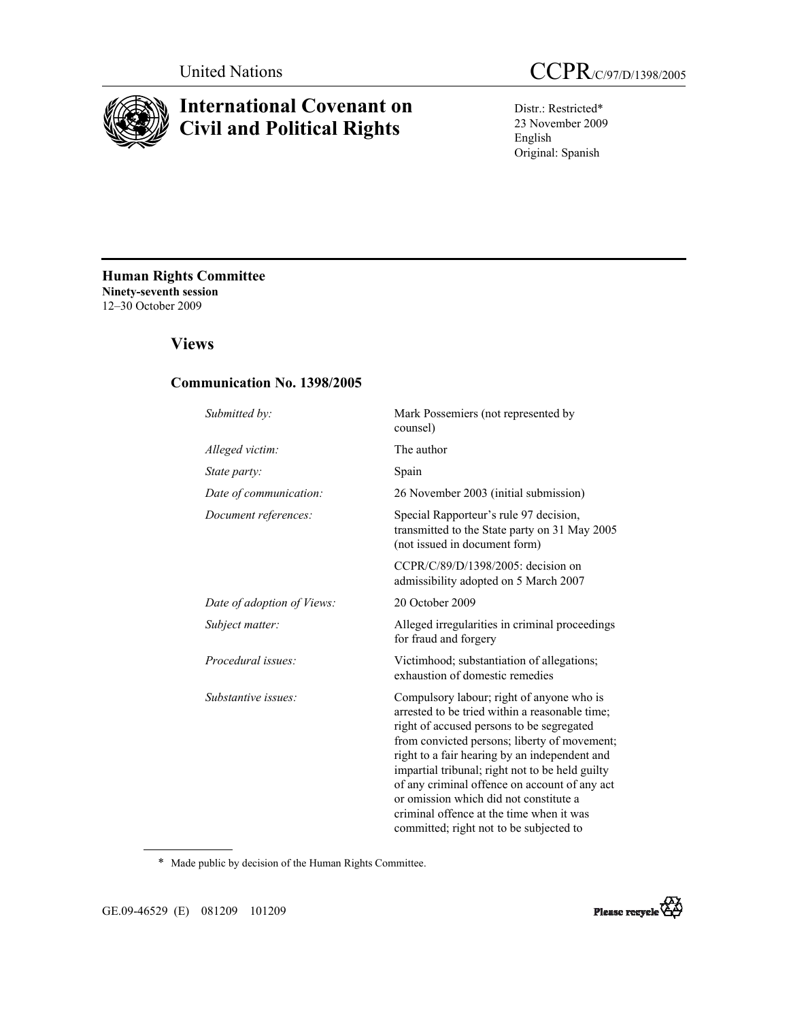

# **International Covenant on Civil and Political Rights**



Distr.: Restricted\* 23 November 2009 English Original: Spanish

**Human Rights Committee Ninety-seventh session**  12–30 October 2009

# **Views**

### **Communication No. 1398/2005**

| Submitted by:              | Mark Possemiers (not represented by<br>counsel)                                                                                                                                                                                                                                                                                                                                                                                                                                |
|----------------------------|--------------------------------------------------------------------------------------------------------------------------------------------------------------------------------------------------------------------------------------------------------------------------------------------------------------------------------------------------------------------------------------------------------------------------------------------------------------------------------|
| Alleged victim:            | The author                                                                                                                                                                                                                                                                                                                                                                                                                                                                     |
| State party:               | Spain                                                                                                                                                                                                                                                                                                                                                                                                                                                                          |
| Date of communication:     | 26 November 2003 (initial submission)                                                                                                                                                                                                                                                                                                                                                                                                                                          |
| Document references:       | Special Rapporteur's rule 97 decision,<br>transmitted to the State party on 31 May 2005<br>(not issued in document form)                                                                                                                                                                                                                                                                                                                                                       |
|                            | CCPR/C/89/D/1398/2005: decision on<br>admissibility adopted on 5 March 2007                                                                                                                                                                                                                                                                                                                                                                                                    |
| Date of adoption of Views: | 20 October 2009                                                                                                                                                                                                                                                                                                                                                                                                                                                                |
| Subject matter:            | Alleged irregularities in criminal proceedings<br>for fraud and forgery                                                                                                                                                                                                                                                                                                                                                                                                        |
| Procedural issues:         | Victimhood; substantiation of allegations;<br>exhaustion of domestic remedies                                                                                                                                                                                                                                                                                                                                                                                                  |
| Substantive issues:        | Compulsory labour; right of anyone who is<br>arrested to be tried within a reasonable time;<br>right of accused persons to be segregated<br>from convicted persons; liberty of movement;<br>right to a fair hearing by an independent and<br>impartial tribunal; right not to be held guilty<br>of any criminal offence on account of any act<br>or omission which did not constitute a<br>criminal offence at the time when it was<br>committed; right not to be subjected to |

\* Made public by decision of the Human Rights Committee.

GE.09-46529 (E) 081209 101209

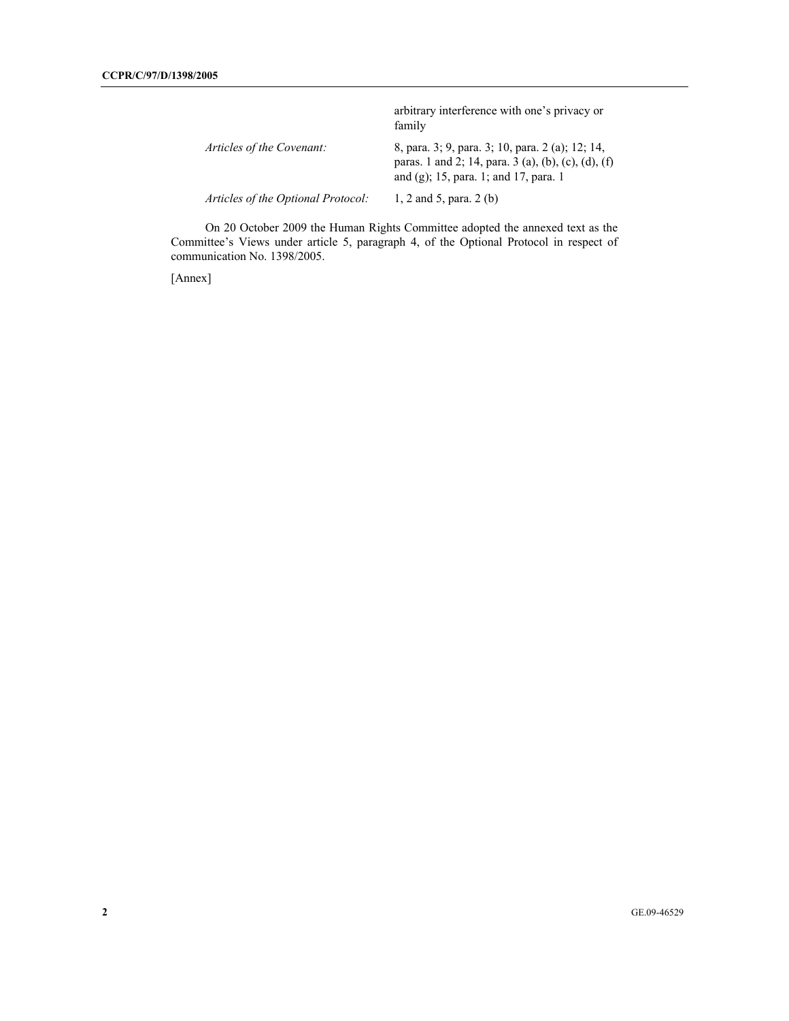|                                    | arbitrary interference with one's privacy or<br>family                                                                                           |
|------------------------------------|--------------------------------------------------------------------------------------------------------------------------------------------------|
| Articles of the Covenant:          | 8, para. 3; 9, para. 3; 10, para. 2 (a); 12; 14,<br>paras. 1 and 2; 14, para. 3 (a), (b), (c), (d), (f)<br>and (g); 15, para. 1; and 17, para. 1 |
| Articles of the Optional Protocol: | 1, 2 and 5, para. $2(b)$                                                                                                                         |

 On 20 October 2009 the Human Rights Committee adopted the annexed text as the Committee's Views under article 5, paragraph 4, of the Optional Protocol in respect of communication No. 1398/2005.

[Annex]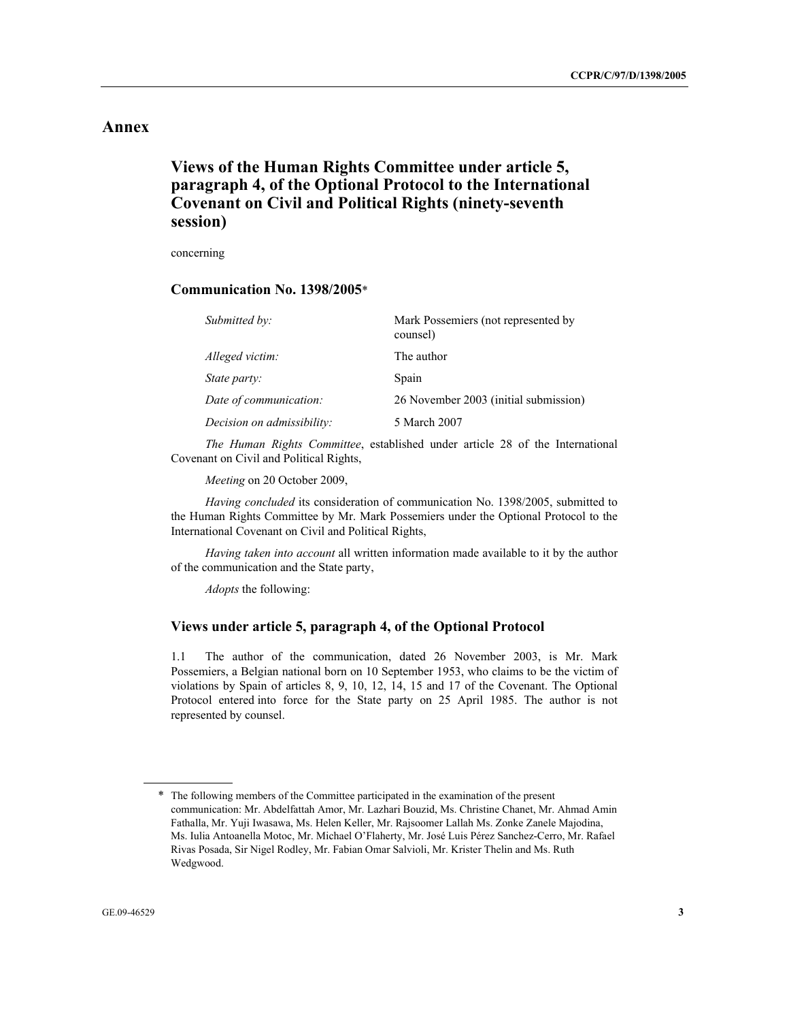## **Annex**

# **Views of the Human Rights Committee under article 5, paragraph 4, of the Optional Protocol to the International Covenant on Civil and Political Rights (ninety-seventh session)**

concerning

### **Communication No. 1398/2005**\*

| Submitted by:              | Mark Possemiers (not represented by<br>counsel) |
|----------------------------|-------------------------------------------------|
| Alleged victim:            | The author                                      |
| State party:               | Spain                                           |
| Date of communication:     | 26 November 2003 (initial submission)           |
| Decision on admissibility: | 5 March 2007                                    |

*The Human Rights Committee*, established under article 28 of the International Covenant on Civil and Political Rights,

*Meeting* on 20 October 2009,

*Having concluded* its consideration of communication No. 1398/2005, submitted to the Human Rights Committee by Mr. Mark Possemiers under the Optional Protocol to the International Covenant on Civil and Political Rights,

*Having taken into account* all written information made available to it by the author of the communication and the State party,

*Adopts* the following:

#### **Views under article 5, paragraph 4, of the Optional Protocol**

1.1 The author of the communication, dated 26 November 2003, is Mr. Mark Possemiers, a Belgian national born on 10 September 1953, who claims to be the victim of violations by Spain of articles 8, 9, 10, 12, 14, 15 and 17 of the Covenant. The Optional Protocol entered into force for the State party on 25 April 1985. The author is not represented by counsel.

<sup>\*</sup> The following members of the Committee participated in the examination of the present communication: Mr. Abdelfattah Amor, Mr. Lazhari Bouzid, Ms. Christine Chanet, Mr. Ahmad Amin Fathalla, Mr. Yuji Iwasawa, Ms. Helen Keller, Mr. Rajsoomer Lallah Ms. Zonke Zanele Majodina, Ms. Iulia Antoanella Motoc, Mr. Michael O'Flaherty, Mr. José Luis Pérez Sanchez-Cerro, Mr. Rafael Rivas Posada, Sir Nigel Rodley, Mr. Fabian Omar Salvioli, Mr. Krister Thelin and Ms. Ruth Wedgwood.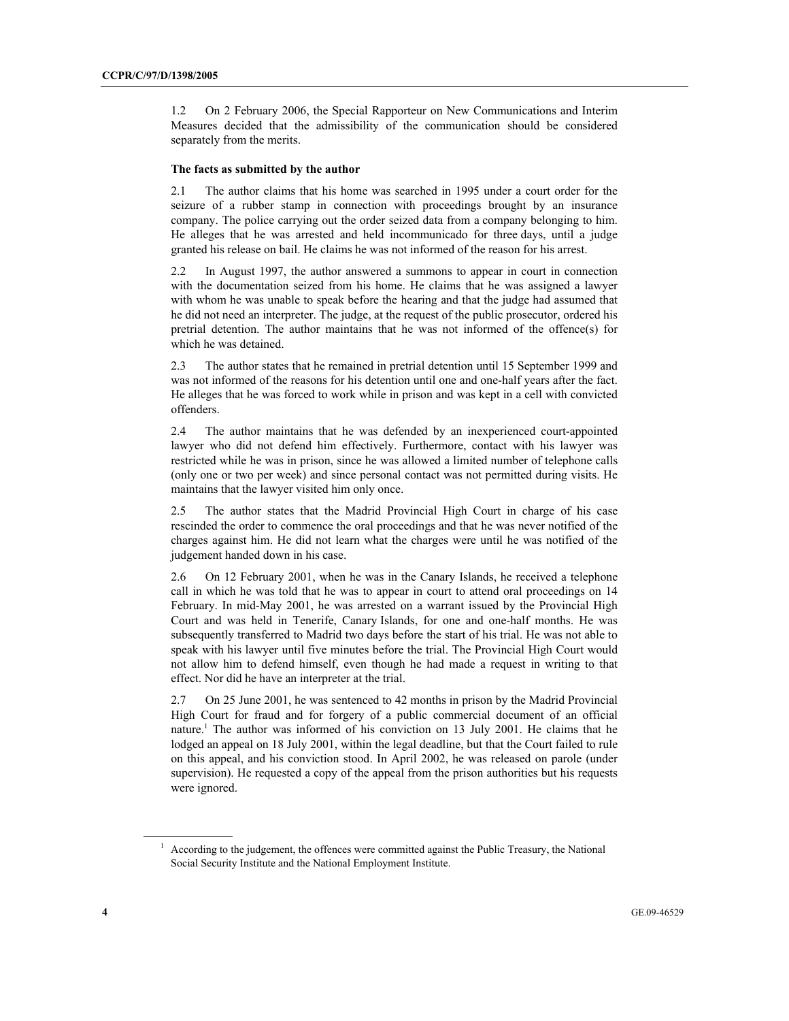1.2 On 2 February 2006, the Special Rapporteur on New Communications and Interim Measures decided that the admissibility of the communication should be considered separately from the merits.

#### **The facts as submitted by the author**

2.1 The author claims that his home was searched in 1995 under a court order for the seizure of a rubber stamp in connection with proceedings brought by an insurance company. The police carrying out the order seized data from a company belonging to him. He alleges that he was arrested and held incommunicado for three days, until a judge granted his release on bail. He claims he was not informed of the reason for his arrest.

2.2 In August 1997, the author answered a summons to appear in court in connection with the documentation seized from his home. He claims that he was assigned a lawyer with whom he was unable to speak before the hearing and that the judge had assumed that he did not need an interpreter. The judge, at the request of the public prosecutor, ordered his pretrial detention. The author maintains that he was not informed of the offence(s) for which he was detained.

2.3 The author states that he remained in pretrial detention until 15 September 1999 and was not informed of the reasons for his detention until one and one-half years after the fact. He alleges that he was forced to work while in prison and was kept in a cell with convicted offenders.

2.4 The author maintains that he was defended by an inexperienced court-appointed lawyer who did not defend him effectively. Furthermore, contact with his lawyer was restricted while he was in prison, since he was allowed a limited number of telephone calls (only one or two per week) and since personal contact was not permitted during visits. He maintains that the lawyer visited him only once.

2.5 The author states that the Madrid Provincial High Court in charge of his case rescinded the order to commence the oral proceedings and that he was never notified of the charges against him. He did not learn what the charges were until he was notified of the judgement handed down in his case.

2.6 On 12 February 2001, when he was in the Canary Islands, he received a telephone call in which he was told that he was to appear in court to attend oral proceedings on 14 February. In mid-May 2001, he was arrested on a warrant issued by the Provincial High Court and was held in Tenerife, Canary Islands, for one and one-half months. He was subsequently transferred to Madrid two days before the start of his trial. He was not able to speak with his lawyer until five minutes before the trial. The Provincial High Court would not allow him to defend himself, even though he had made a request in writing to that effect. Nor did he have an interpreter at the trial.

2.7 On 25 June 2001, he was sentenced to 42 months in prison by the Madrid Provincial High Court for fraud and for forgery of a public commercial document of an official nature.<sup>1</sup> The author was informed of his conviction on 13 July 2001. He claims that he lodged an appeal on 18 July 2001, within the legal deadline, but that the Court failed to rule on this appeal, and his conviction stood. In April 2002, he was released on parole (under supervision). He requested a copy of the appeal from the prison authorities but his requests were ignored.

<sup>&</sup>lt;sup>1</sup> According to the judgement, the offences were committed against the Public Treasury, the National Social Security Institute and the National Employment Institute.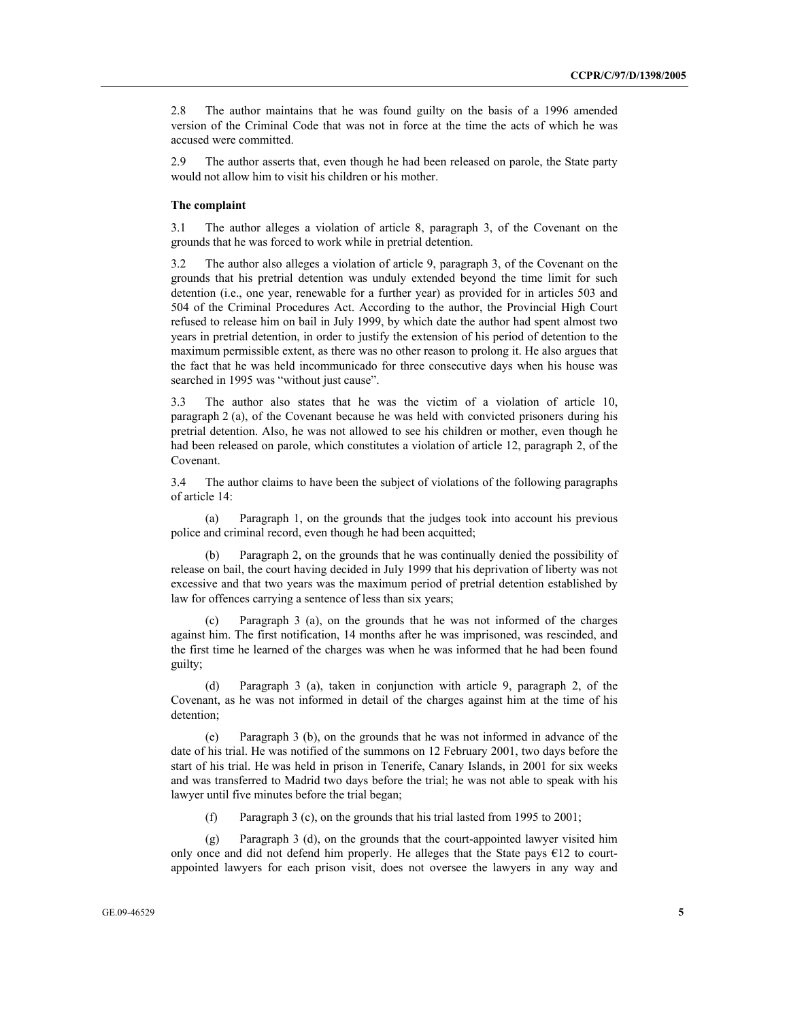2.8 The author maintains that he was found guilty on the basis of a 1996 amended version of the Criminal Code that was not in force at the time the acts of which he was accused were committed.

2.9 The author asserts that, even though he had been released on parole, the State party would not allow him to visit his children or his mother.

#### **The complaint**

3.1 The author alleges a violation of article 8, paragraph 3, of the Covenant on the grounds that he was forced to work while in pretrial detention.

3.2 The author also alleges a violation of article 9, paragraph 3, of the Covenant on the grounds that his pretrial detention was unduly extended beyond the time limit for such detention (i.e., one year, renewable for a further year) as provided for in articles 503 and 504 of the Criminal Procedures Act. According to the author, the Provincial High Court refused to release him on bail in July 1999, by which date the author had spent almost two years in pretrial detention, in order to justify the extension of his period of detention to the maximum permissible extent, as there was no other reason to prolong it. He also argues that the fact that he was held incommunicado for three consecutive days when his house was searched in 1995 was "without just cause".

3.3 The author also states that he was the victim of a violation of article 10, paragraph 2 (a), of the Covenant because he was held with convicted prisoners during his pretrial detention. Also, he was not allowed to see his children or mother, even though he had been released on parole, which constitutes a violation of article 12, paragraph 2, of the Covenant.

3.4 The author claims to have been the subject of violations of the following paragraphs of article 14:

 (a) Paragraph 1, on the grounds that the judges took into account his previous police and criminal record, even though he had been acquitted;

Paragraph 2, on the grounds that he was continually denied the possibility of release on bail, the court having decided in July 1999 that his deprivation of liberty was not excessive and that two years was the maximum period of pretrial detention established by law for offences carrying a sentence of less than six years;

 (c) Paragraph 3 (a), on the grounds that he was not informed of the charges against him. The first notification, 14 months after he was imprisoned, was rescinded, and the first time he learned of the charges was when he was informed that he had been found guilty;

 (d) Paragraph 3 (a), taken in conjunction with article 9, paragraph 2, of the Covenant, as he was not informed in detail of the charges against him at the time of his detention;

 (e) Paragraph 3 (b), on the grounds that he was not informed in advance of the date of his trial. He was notified of the summons on 12 February 2001, two days before the start of his trial. He was held in prison in Tenerife, Canary Islands, in 2001 for six weeks and was transferred to Madrid two days before the trial; he was not able to speak with his lawyer until five minutes before the trial began;

(f) Paragraph 3 (c), on the grounds that his trial lasted from 1995 to 2001;

 (g) Paragraph 3 (d), on the grounds that the court-appointed lawyer visited him only once and did not defend him properly. He alleges that the State pays  $E12$  to courtappointed lawyers for each prison visit, does not oversee the lawyers in any way and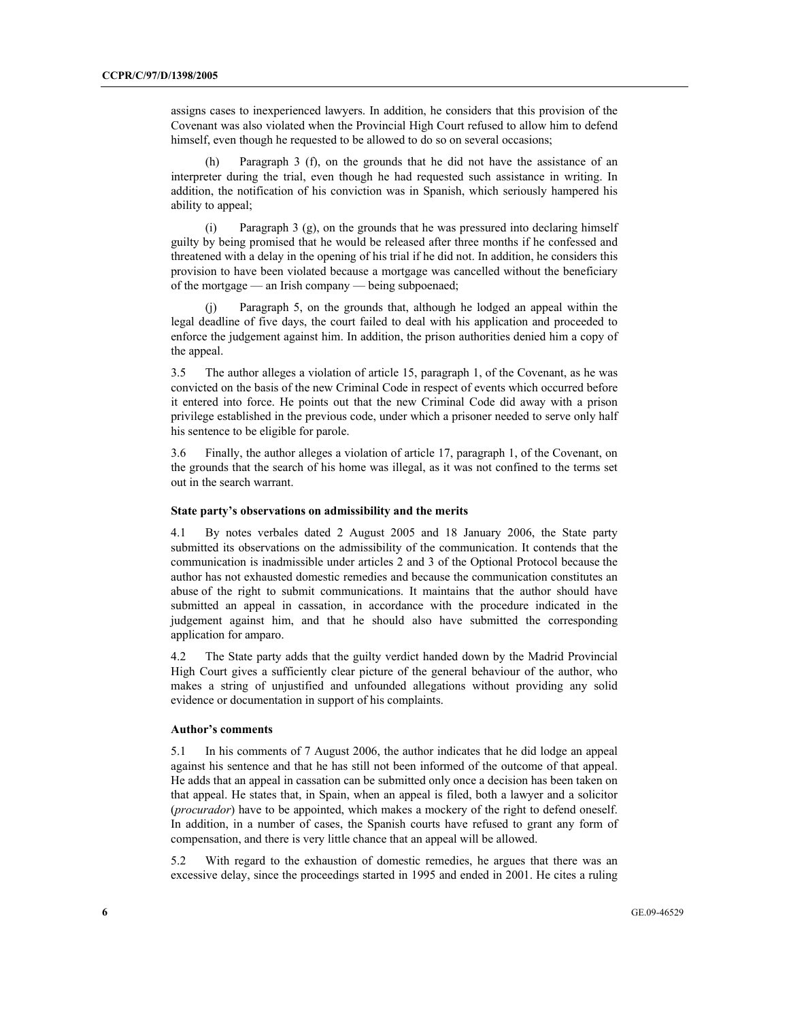assigns cases to inexperienced lawyers. In addition, he considers that this provision of the Covenant was also violated when the Provincial High Court refused to allow him to defend himself, even though he requested to be allowed to do so on several occasions;

Paragraph 3 (f), on the grounds that he did not have the assistance of an interpreter during the trial, even though he had requested such assistance in writing. In addition, the notification of his conviction was in Spanish, which seriously hampered his ability to appeal;

 (i) Paragraph 3 (g), on the grounds that he was pressured into declaring himself guilty by being promised that he would be released after three months if he confessed and threatened with a delay in the opening of his trial if he did not. In addition, he considers this provision to have been violated because a mortgage was cancelled without the beneficiary of the mortgage — an Irish company — being subpoenaed;

 (j) Paragraph 5, on the grounds that, although he lodged an appeal within the legal deadline of five days, the court failed to deal with his application and proceeded to enforce the judgement against him. In addition, the prison authorities denied him a copy of the appeal.

3.5 The author alleges a violation of article 15, paragraph 1, of the Covenant, as he was convicted on the basis of the new Criminal Code in respect of events which occurred before it entered into force. He points out that the new Criminal Code did away with a prison privilege established in the previous code, under which a prisoner needed to serve only half his sentence to be eligible for parole.

3.6 Finally, the author alleges a violation of article 17, paragraph 1, of the Covenant, on the grounds that the search of his home was illegal, as it was not confined to the terms set out in the search warrant.

#### **State party's observations on admissibility and the merits**

4.1 By notes verbales dated 2 August 2005 and 18 January 2006, the State party submitted its observations on the admissibility of the communication. It contends that the communication is inadmissible under articles 2 and 3 of the Optional Protocol because the author has not exhausted domestic remedies and because the communication constitutes an abuse of the right to submit communications. It maintains that the author should have submitted an appeal in cassation, in accordance with the procedure indicated in the judgement against him, and that he should also have submitted the corresponding application for amparo.

4.2 The State party adds that the guilty verdict handed down by the Madrid Provincial High Court gives a sufficiently clear picture of the general behaviour of the author, who makes a string of unjustified and unfounded allegations without providing any solid evidence or documentation in support of his complaints.

#### **Author's comments**

5.1 In his comments of 7 August 2006, the author indicates that he did lodge an appeal against his sentence and that he has still not been informed of the outcome of that appeal. He adds that an appeal in cassation can be submitted only once a decision has been taken on that appeal. He states that, in Spain, when an appeal is filed, both a lawyer and a solicitor (*procurador*) have to be appointed, which makes a mockery of the right to defend oneself. In addition, in a number of cases, the Spanish courts have refused to grant any form of compensation, and there is very little chance that an appeal will be allowed.

5.2 With regard to the exhaustion of domestic remedies, he argues that there was an excessive delay, since the proceedings started in 1995 and ended in 2001. He cites a ruling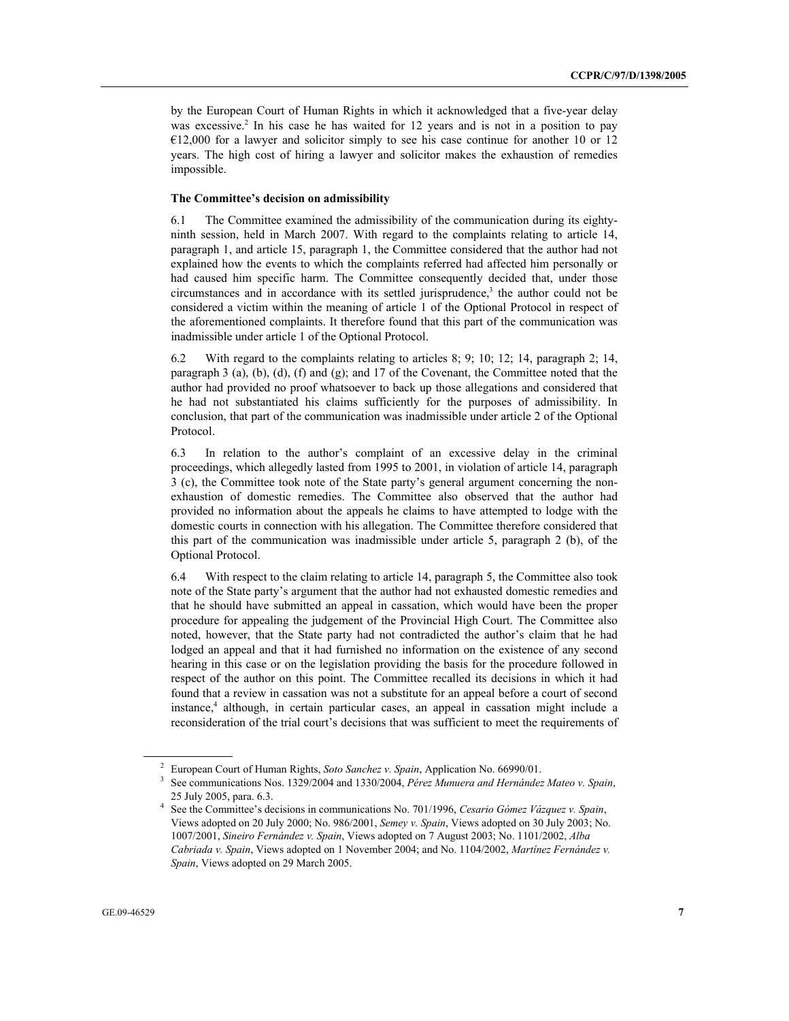by the European Court of Human Rights in which it acknowledged that a five-year delay was excessive.<sup>2</sup> In his case he has waited for 12 years and is not in a position to pay €12,000 for a lawyer and solicitor simply to see his case continue for another 10 or 12 years. The high cost of hiring a lawyer and solicitor makes the exhaustion of remedies impossible.

#### **The Committee's decision on admissibility**

6.1 The Committee examined the admissibility of the communication during its eightyninth session, held in March 2007. With regard to the complaints relating to article 14, paragraph 1, and article 15, paragraph 1, the Committee considered that the author had not explained how the events to which the complaints referred had affected him personally or had caused him specific harm. The Committee consequently decided that, under those  $circumstances$  and in accordance with its settled jurisprudence,<sup>3</sup> the author could not be considered a victim within the meaning of article 1 of the Optional Protocol in respect of the aforementioned complaints. It therefore found that this part of the communication was inadmissible under article 1 of the Optional Protocol.

6.2 With regard to the complaints relating to articles 8; 9; 10; 12; 14, paragraph 2; 14, paragraph 3 (a), (b), (d), (f) and (g); and 17 of the Covenant, the Committee noted that the author had provided no proof whatsoever to back up those allegations and considered that he had not substantiated his claims sufficiently for the purposes of admissibility. In conclusion, that part of the communication was inadmissible under article 2 of the Optional Protocol.

6.3 In relation to the author's complaint of an excessive delay in the criminal proceedings, which allegedly lasted from 1995 to 2001, in violation of article 14, paragraph 3 (c), the Committee took note of the State party's general argument concerning the nonexhaustion of domestic remedies. The Committee also observed that the author had provided no information about the appeals he claims to have attempted to lodge with the domestic courts in connection with his allegation. The Committee therefore considered that this part of the communication was inadmissible under article 5, paragraph 2 (b), of the Optional Protocol.

6.4 With respect to the claim relating to article 14, paragraph 5, the Committee also took note of the State party's argument that the author had not exhausted domestic remedies and that he should have submitted an appeal in cassation, which would have been the proper procedure for appealing the judgement of the Provincial High Court. The Committee also noted, however, that the State party had not contradicted the author's claim that he had lodged an appeal and that it had furnished no information on the existence of any second hearing in this case or on the legislation providing the basis for the procedure followed in respect of the author on this point. The Committee recalled its decisions in which it had found that a review in cassation was not a substitute for an appeal before a court of second instance,<sup>4</sup> although, in certain particular cases, an appeal in cassation might include a reconsideration of the trial court's decisions that was sufficient to meet the requirements of

<sup>2</sup> European Court of Human Rights, *Soto Sanchez v. Spain*, Application No. 66990/01. 3

See communications Nos. 1329/2004 and 1330/2004, *Pérez Munuera and Hernández Mateo v. Spain*, 25 July 2005, para. 6.3. 4

See the Committee's decisions in communications No. 701/1996, *Cesario Gómez Vázquez v. Spain*, Views adopted on 20 July 2000; No. 986/2001, *Semey v. Spain*, Views adopted on 30 July 2003; No. 1007/2001, *Sineiro Fernández v. Spain*, Views adopted on 7 August 2003; No. 1101/2002, *Alba Cabriada v. Spain*, Views adopted on 1 November 2004; and No. 1104/2002, *Martínez Fernández v. Spain*, Views adopted on 29 March 2005.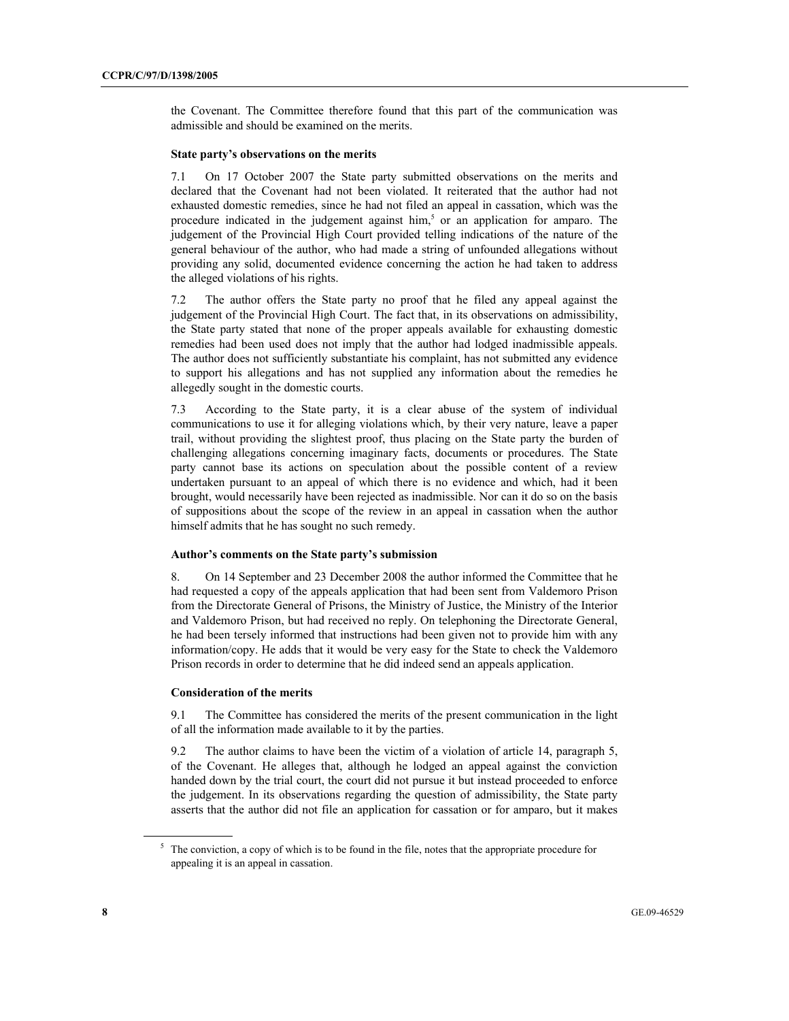the Covenant. The Committee therefore found that this part of the communication was admissible and should be examined on the merits.

#### **State party's observations on the merits**

7.1 On 17 October 2007 the State party submitted observations on the merits and declared that the Covenant had not been violated. It reiterated that the author had not exhausted domestic remedies, since he had not filed an appeal in cassation, which was the procedure indicated in the judgement against him,<sup>5</sup> or an application for amparo. The judgement of the Provincial High Court provided telling indications of the nature of the general behaviour of the author, who had made a string of unfounded allegations without providing any solid, documented evidence concerning the action he had taken to address the alleged violations of his rights.

7.2 The author offers the State party no proof that he filed any appeal against the judgement of the Provincial High Court. The fact that, in its observations on admissibility, the State party stated that none of the proper appeals available for exhausting domestic remedies had been used does not imply that the author had lodged inadmissible appeals. The author does not sufficiently substantiate his complaint, has not submitted any evidence to support his allegations and has not supplied any information about the remedies he allegedly sought in the domestic courts.

7.3 According to the State party, it is a clear abuse of the system of individual communications to use it for alleging violations which, by their very nature, leave a paper trail, without providing the slightest proof, thus placing on the State party the burden of challenging allegations concerning imaginary facts, documents or procedures. The State party cannot base its actions on speculation about the possible content of a review undertaken pursuant to an appeal of which there is no evidence and which, had it been brought, would necessarily have been rejected as inadmissible. Nor can it do so on the basis of suppositions about the scope of the review in an appeal in cassation when the author himself admits that he has sought no such remedy.

#### **Author's comments on the State party's submission**

8. On 14 September and 23 December 2008 the author informed the Committee that he had requested a copy of the appeals application that had been sent from Valdemoro Prison from the Directorate General of Prisons, the Ministry of Justice, the Ministry of the Interior and Valdemoro Prison, but had received no reply. On telephoning the Directorate General, he had been tersely informed that instructions had been given not to provide him with any information/copy. He adds that it would be very easy for the State to check the Valdemoro Prison records in order to determine that he did indeed send an appeals application.

#### **Consideration of the merits**

9.1 The Committee has considered the merits of the present communication in the light of all the information made available to it by the parties.

9.2 The author claims to have been the victim of a violation of article 14, paragraph 5, of the Covenant. He alleges that, although he lodged an appeal against the conviction handed down by the trial court, the court did not pursue it but instead proceeded to enforce the judgement. In its observations regarding the question of admissibility, the State party asserts that the author did not file an application for cassation or for amparo, but it makes

<sup>&</sup>lt;sup>5</sup> The conviction, a copy of which is to be found in the file, notes that the appropriate procedure for appealing it is an appeal in cassation.